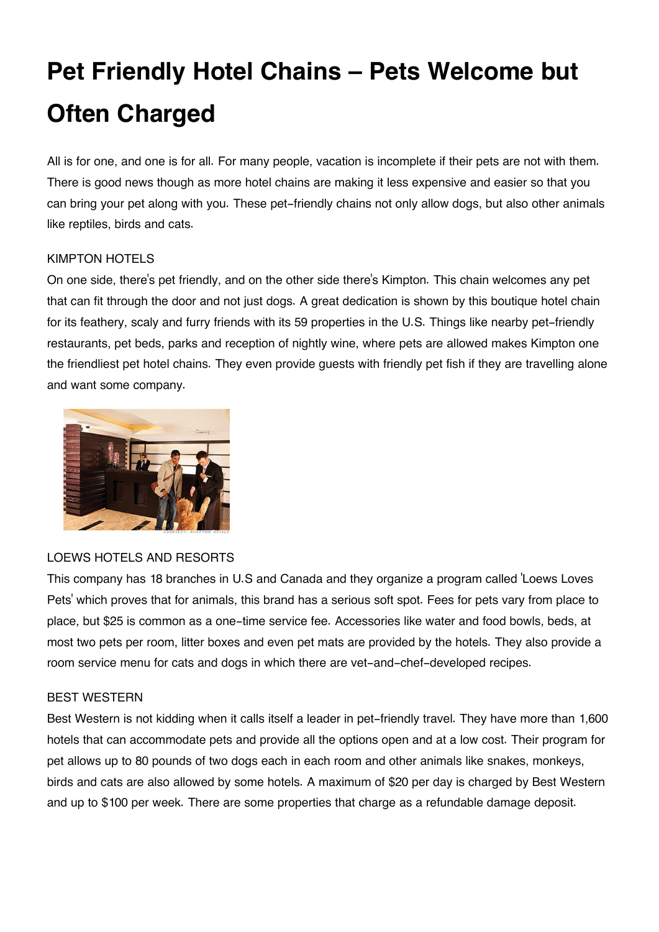# **Pet Friendly Hotel Chains – Pets Welcome but Often Charged**

All is for one, and one is for all. For many people, vacation is incomplete if their pets are not with them. There is good news though as more hotel chains are making it less expensive and easier so that you can bring your pet along with you. These pet-friendly chains not only allow dogs, but also other animals like reptiles, birds and cats.

## KIMPTON HOTELS

On one side, there's pet friendly, and on the other side there's Kimpton. This chain welcomes any pet that can fit through the door and not just dogs. A great dedication is shown by this boutique hotel chain for its feathery, scaly and furry friends with its 59 properties in the U.S. Things like nearby pet-friendly restaurants, pet beds, parks and reception of nightly wine, where pets are allowed makes Kimpton one the friendliest pet hotel chains. They even provide guests with friendly pet fish if they are travelling alone and want some company.



### LOEWS HOTELS AND RESORTS

This company has 18 branches in U.S and Canada and they organize a program called 'Loews Loves Pets' which proves that for animals, this brand has a serious soft spot. Fees for pets vary from place to place, but \$25 is common as a one-time service fee. Accessories like water and food bowls, beds, at most two pets per room, litter boxes and even pet mats are provided by the hotels. They also provide a room service menu for cats and dogs in which there are vet-and-chef-developed recipes.

### BEST WESTERN

Best Western is not kidding when it calls itself a leader in pet-friendly travel. They have more than 1,600 hotels that can accommodate pets and provide all the options open and at a low cost. Their program for pet allows up to 80 pounds of two dogs each in each room and other animals like snakes, monkeys, birds and cats are also allowed by some hotels. A maximum of \$20 per day is charged by Best Western and up to \$100 per week. There are some properties that charge as a refundable damage deposit.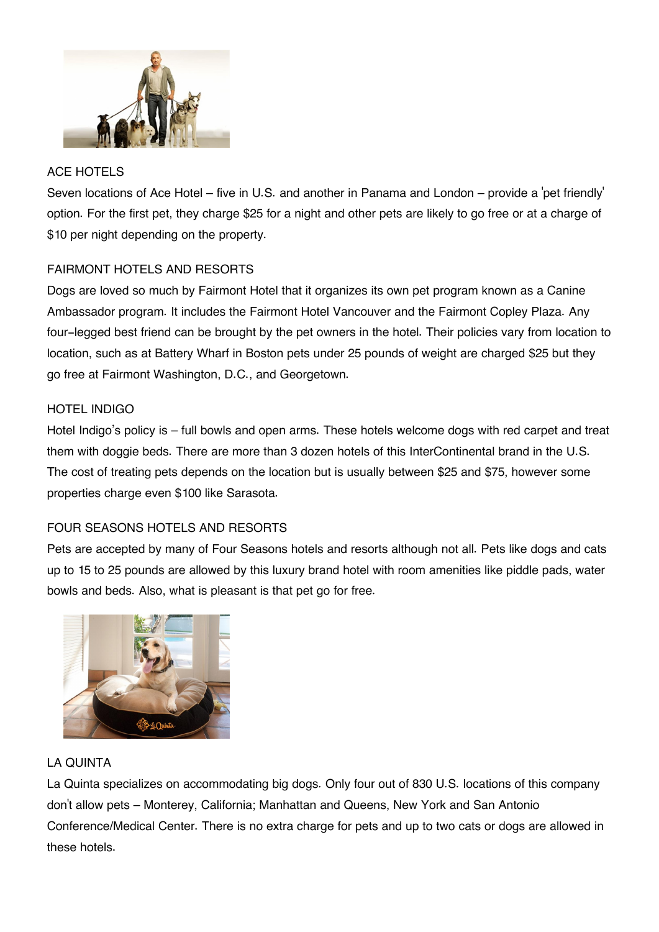

# ACE HOTELS

Seven locations of Ace Hotel – five in U.S. and another in Panama and London – provide a 'pet friendly' option. For the first pet, they charge \$25 for a night and other pets are likely to go free or at a charge of \$10 per night depending on the property.

# FAIRMONT HOTELS AND RESORTS

Dogs are loved so much by Fairmont Hotel that it organizes its own pet program known as a Canine Ambassador program. It includes the Fairmont Hotel Vancouver and the Fairmont Copley Plaza. Any four-legged best friend can be brought by the pet owners in the hotel. Their policies vary from location to location, such as at Battery Wharf in Boston pets under 25 pounds of weight are charged \$25 but they go free at Fairmont Washington, D.C., and Georgetown.

# HOTEL INDIGO

Hotel Indigo's policy is – full bowls and open arms. These hotels welcome dogs with red carpet and treat them with doggie beds. There are more than 3 dozen hotels of this InterContinental brand in the U.S. The cost of treating pets depends on the location but is usually between \$25 and \$75, however some properties charge even \$100 like Sarasota.

# FOUR SEASONS HOTELS AND RESORTS

Pets are accepted by many of Four Seasons hotels and resorts although not all. Pets like dogs and cats up to 15 to 25 pounds are allowed by this luxury brand hotel with room amenities like piddle pads, water bowls and beds. Also, what is pleasant is that pet go for free.



# LA QUINTA

La Quinta specializes on accommodating big dogs. Only four out of 830 U.S. locations of this company don't allow pets – Monterey, California; Manhattan and Queens, New York and San Antonio Conference/Medical Center. There is no extra charge for pets and up to two cats or dogs are allowed in these hotels.